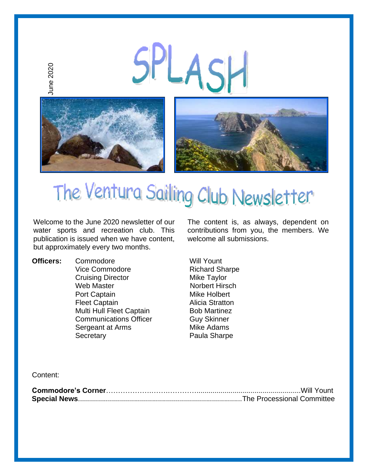

Welcome to the June 2020 newsletter of our water sports and recreation club. This publication is issued when we have content, but approximately every two months.

**Officers:** Commodore Will Yount Vice Commodore Richard Sharpe Cruising Director Mike Taylor Web Master Norbert Hirsch Port Captain Mike Holbert Fleet Captain **Alicia Stratton** Multi Hull Fleet Captain Bob Martinez Communications Officer **Guy Skinner** Sergeant at Arms Mike Adams Secretary **Paula Sharpe** 

The content is, as always, dependent on contributions from you, the members. We welcome all submissions.

Content: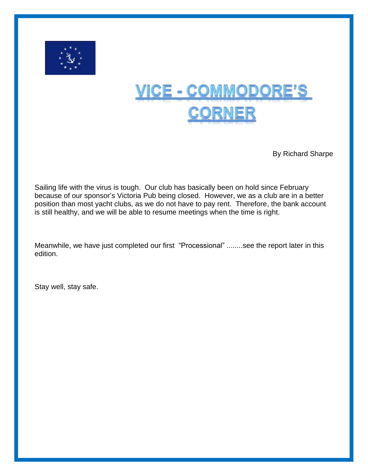

# <u> VICE - COMMODORE'S</u> <u>Corner</u>

By Richard Sharpe

Sailing life with the virus is tough. Our club has basically been on hold since February because of our sponsor's Victoria Pub being closed. However, we as a club are in a better position than most yacht clubs, as we do not have to pay rent. Therefore, the bank account is still healthy, and we will be able to resume meetings when the time is right.

Meanwhile, we have just completed our first "Processional" ........see the report later in this edition.

Stay well, stay safe.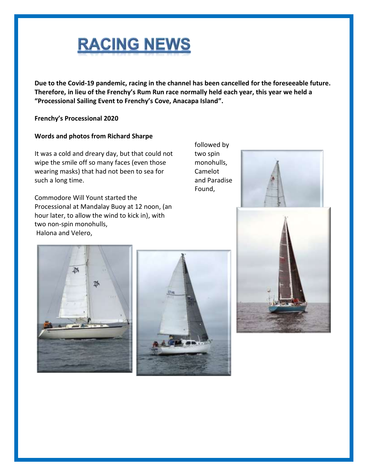

**Due to the Covid-19 pandemic, racing in the channel has been cancelled for the foreseeable future. Therefore, in lieu of the Frenchy's Rum Run race normally held each year, this year we held a "Processional Sailing Event to Frenchy's Cove, Anacapa Island".** 

**Frenchy's Processional 2020**

#### **Words and photos from Richard Sharpe**

It was a cold and dreary day, but that could not wipe the smile off so many faces (even those wearing masks) that had not been to sea for such a long time.

Commodore Will Yount started the Processional at Mandalay Buoy at 12 noon, (an hour later, to allow the wind to kick in), with two non-spin monohulls, Halona and Velero,

followed by two spin monohulls, Camelot and Paradise Found,







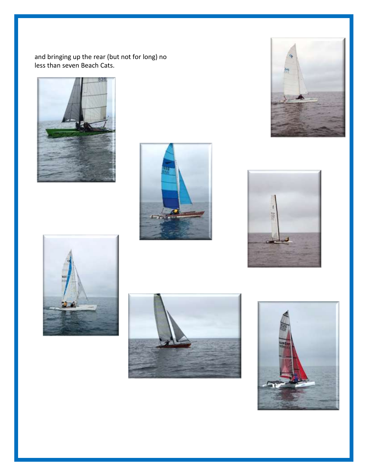and bringing up the rear (but not for long) no less than seven Beach Cats.













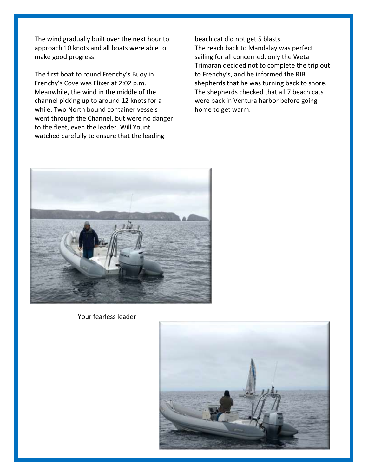The wind gradually built over the next hour to approach 10 knots and all boats were able to make good progress.

The first boat to round Frenchy's Buoy in Frenchy's Cove was Elixer at 2:02 p.m. Meanwhile, the wind in the middle of the channel picking up to around 12 knots for a while. Two North bound container vessels went through the Channel, but were no danger to the fleet, even the leader. Will Yount watched carefully to ensure that the leading

beach cat did not get 5 blasts. The reach back to Mandalay was perfect sailing for all concerned, only the Weta Trimaran decided not to complete the trip out to Frenchy's, and he informed the RIB shepherds that he was turning back to shore. The shepherds checked that all 7 beach cats were back in Ventura harbor before going home to get warm.



Your fearless leader

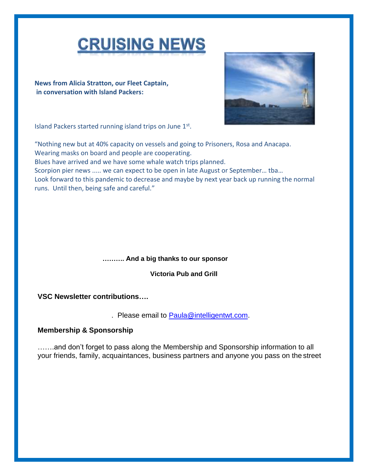

**News from Alicia Stratton, our Fleet Captain, in conversation with Island Packers:**



Island Packers started running island trips on June 1st.

"Nothing new but at 40% capacity on vessels and going to Prisoners, Rosa and Anacapa. Wearing masks on board and people are cooperating. Blues have arrived and we have some whale watch trips planned. Scorpion pier news ..... we can expect to be open in late August or September… tba… Look forward to this pandemic to decrease and maybe by next year back up running the normal runs. Until then, being safe and careful."

#### **………. And a big thanks to our sponsor**

**Victoria Pub and Grill**

**VSC Newsletter contributions….**

. Please email to [Paula@intelligentwt.com.](mailto:Paula@intelligentwt.com)

### **Membership & Sponsorship**

…….and don't forget to pass along the Membership and Sponsorship information to all your friends, family, acquaintances, business partners and anyone you pass on the street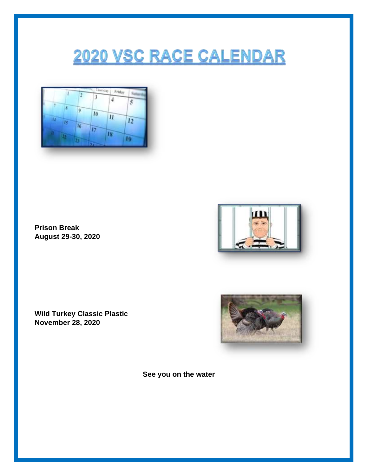## **2020 VSC RACE CALENDAR**



**Prison Break August 29-30, 2020**



**Wild Turkey Classic Plastic November 28, 2020**



**See you on the water**